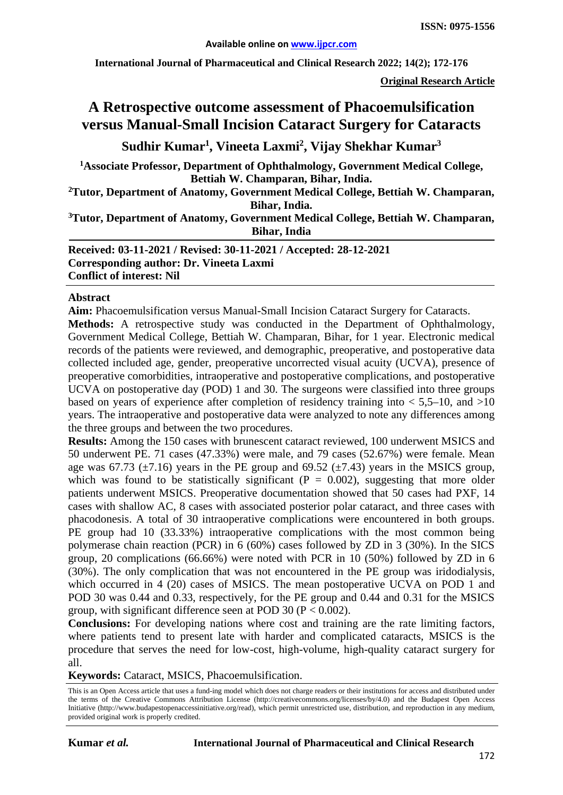**International Journal of Pharmaceutical and Clinical Research 2022; 14(2); 172-176**

**Original Research Article**

# **A Retrospective outcome assessment of Phacoemulsification versus Manual-Small Incision Cataract Surgery for Cataracts**

**Sudhir Kumar1 , Vineeta Laxmi2 , Vijay Shekhar Kumar3**

**1Associate Professor, Department of Ophthalmology, Government Medical College, Bettiah W. Champaran, Bihar, India.** 

**2 Tutor, Department of Anatomy, Government Medical College, Bettiah W. Champaran, Bihar, India.** 

**3 Tutor, Department of Anatomy, Government Medical College, Bettiah W. Champaran, Bihar, India**

**Received: 03-11-2021 / Revised: 30-11-2021 / Accepted: 28-12-2021 Corresponding author: Dr. Vineeta Laxmi Conflict of interest: Nil**

#### **Abstract**

**Aim:** Phacoemulsification versus Manual-Small Incision Cataract Surgery for Cataracts.

**Methods:** A retrospective study was conducted in the Department of Ophthalmology, Government Medical College, Bettiah W. Champaran, Bihar, for 1 year. Electronic medical records of the patients were reviewed, and demographic, preoperative, and postoperative data collected included age, gender, preoperative uncorrected visual acuity (UCVA), presence of preoperative comorbidities, intraoperative and postoperative complications, and postoperative UCVA on postoperative day (POD) 1 and 30. The surgeons were classified into three groups based on years of experience after completion of residency training into  $\lt 5,5$ –10, and  $>10$ years. The intraoperative and postoperative data were analyzed to note any differences among the three groups and between the two procedures.

**Results:** Among the 150 cases with brunescent cataract reviewed, 100 underwent MSICS and 50 underwent PE. 71 cases (47.33%) were male, and 79 cases (52.67%) were female. Mean age was 67.73 ( $\pm$ 7.16) years in the PE group and 69.52 ( $\pm$ 7.43) years in the MSICS group, which was found to be statistically significant ( $P = 0.002$ ), suggesting that more older patients underwent MSICS. Preoperative documentation showed that 50 cases had PXF, 14 cases with shallow AC, 8 cases with associated posterior polar cataract, and three cases with phacodonesis. A total of 30 intraoperative complications were encountered in both groups. PE group had 10 (33.33%) intraoperative complications with the most common being polymerase chain reaction (PCR) in 6 (60%) cases followed by ZD in 3 (30%). In the SICS group, 20 complications (66.66%) were noted with PCR in 10 (50%) followed by ZD in 6 (30%). The only complication that was not encountered in the PE group was iridodialysis, which occurred in 4 (20) cases of MSICS. The mean postoperative UCVA on POD 1 and POD 30 was 0.44 and 0.33, respectively, for the PE group and 0.44 and 0.31 for the MSICS group, with significant difference seen at POD 30 ( $P < 0.002$ ).

**Conclusions:** For developing nations where cost and training are the rate limiting factors, where patients tend to present late with harder and complicated cataracts, MSICS is the procedure that serves the need for low-cost, high-volume, high-quality cataract surgery for all.

**Keywords:** Cataract, MSICS, Phacoemulsification.

This is an Open Access article that uses a fund-ing model which does not charge readers or their institutions for access and distributed under the terms of the Creative Commons Attribution License (http://creativecommons.org/licenses/by/4.0) and the Budapest Open Access Initiative (http://www.budapestopenaccessinitiative.org/read), which permit unrestricted use, distribution, and reproduction in any medium, provided original work is properly credited.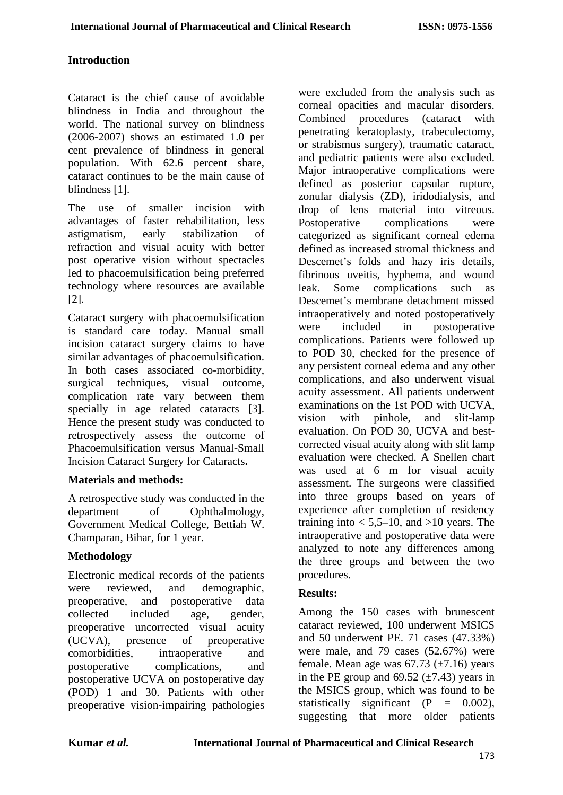## **Introduction**

Cataract is the chief cause of avoidable blindness in India and throughout the world. The national survey on blindness (2006-2007) shows an estimated 1.0 per cent prevalence of blindness in general population. With 62.6 percent share, cataract continues to be the main cause of blindness [1].

The use of smaller incision with advantages of faster rehabilitation, less astigmatism, early stabilization of refraction and visual acuity with better post operative vision without spectacles led to phacoemulsification being preferred technology where resources are available [2].

Cataract surgery with phacoemulsification is standard care today. Manual small incision cataract surgery claims to have similar advantages of phacoemulsification. In both cases associated co-morbidity, surgical techniques, visual outcome, complication rate vary between them specially in age related cataracts [3]. Hence the present study was conducted to retrospectively assess the outcome of Phacoemulsification versus Manual-Small Incision Cataract Surgery for Cataracts**.**

## **Materials and methods:**

A retrospective study was conducted in the department of Ophthalmology, Government Medical College, Bettiah W. Champaran, Bihar, for 1 year.

## **Methodology**

Electronic medical records of the patients were reviewed, and demographic, preoperative, and postoperative data collected included age, gender, preoperative uncorrected visual acuity (UCVA), presence of preoperative comorbidities, intraoperative and postoperative complications, and postoperative UCVA on postoperative day (POD) 1 and 30. Patients with other preoperative vision-impairing pathologies

were excluded from the analysis such as corneal opacities and macular disorders. Combined procedures (cataract with penetrating keratoplasty, trabeculectomy, or strabismus surgery), traumatic cataract, and pediatric patients were also excluded. Major intraoperative complications were defined as posterior capsular rupture, zonular dialysis (ZD), iridodialysis, and drop of lens material into vitreous. Postoperative complications were categorized as significant corneal edema defined as increased stromal thickness and Descemet's folds and hazy iris details, fibrinous uveitis, hyphema, and wound leak. Some complications such as Descemet's membrane detachment missed intraoperatively and noted postoperatively were included in postoperative complications. Patients were followed up to POD 30, checked for the presence of any persistent corneal edema and any other complications, and also underwent visual acuity assessment. All patients underwent examinations on the 1st POD with UCVA, vision with pinhole, and slit-lamp evaluation. On POD 30, UCVA and bestcorrected visual acuity along with slit lamp evaluation were checked. A Snellen chart was used at 6 m for visual acuity assessment. The surgeons were classified into three groups based on years of experience after completion of residency training into  $< 5.5$ –10, and  $>10$  years. The intraoperative and postoperative data were analyzed to note any differences among the three groups and between the two procedures.

# **Results:**

Among the 150 cases with brunescent cataract reviewed, 100 underwent MSICS and 50 underwent PE. 71 cases (47.33%) were male, and 79 cases (52.67%) were female. Mean age was  $67.73$  ( $\pm 7.16$ ) years in the PE group and  $69.52 \ (\pm 7.43)$  years in the MSICS group, which was found to be statistically significant  $(P = 0.002)$ , suggesting that more older patients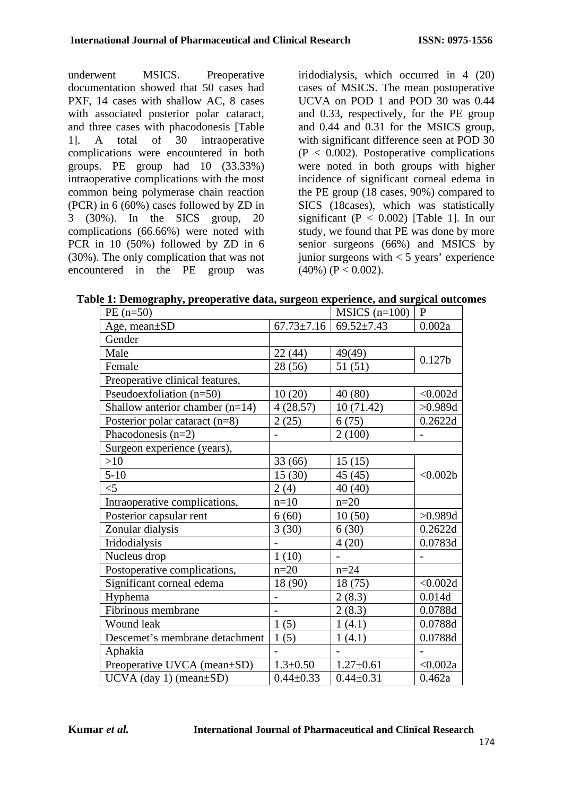underwent MSICS. Preoperative documentation showed that 50 cases had PXF, 14 cases with shallow AC, 8 cases with associated posterior polar cataract, and three cases with phacodonesis [Table 1]. A total of 30 intraoperative complications were encountered in both groups. PE group had 10 (33.33%) intraoperative complications with the most common being polymerase chain reaction (PCR) in 6 (60%) cases followed by ZD in 3 (30%). In the SICS group, 20 complications (66.66%) were noted with PCR in 10 (50%) followed by ZD in 6 (30%). The only complication that was not encountered in the PE group was

iridodialysis, which occurred in 4 (20) cases of MSICS. The mean postoperative UCVA on POD 1 and POD 30 was 0.44 and 0.33, respectively, for the PE group and 0.44 and 0.31 for the MSICS group, with significant difference seen at POD 30  $(P < 0.002)$ . Postoperative complications were noted in both groups with higher incidence of significant corneal edema in the PE group (18 cases, 90%) compared to SICS (18cases), which was statistically significant ( $P < 0.002$ ) [Table 1]. In our study, we found that PE was done by more senior surgeons (66%) and MSICS by junior surgeons with  $<$  5 years' experience  $(40\%) (P < 0.002)$ .

**Table 1: Demography, preoperative data, surgeon experience, and surgical outcomes**

| $PE(n=50)$                        |                          | $MSICS$ (n=100)  | $\mathbf{P}$       |
|-----------------------------------|--------------------------|------------------|--------------------|
| Age, mean $\pm SD$                | $67.73 \pm 7.16$         | $69.52 \pm 7.43$ | 0.002a             |
| Gender                            |                          |                  |                    |
| Male                              | 22 (44)                  | 49(49)           | 0.127 <sub>b</sub> |
| Female                            | 28 (56)                  | 51(51)           |                    |
| Preoperative clinical features,   |                          |                  |                    |
| Pseudoexfoliation (n=50)          | 10(20)                   | 40 (80)          | < 0.002d           |
| Shallow anterior chamber $(n=14)$ | 4(28.57)                 | 10(71.42)        | >0.989d            |
| Posterior polar cataract (n=8)    | 2(25)                    | 6(75)            | 0.2622d            |
| Phacodonesis $(n=2)$              | $\overline{\phantom{0}}$ | 2(100)           |                    |
| Surgeon experience (years),       |                          |                  |                    |
| >10                               | 33 (66)                  | 15(15)           | < 0.002b           |
| $5-10$                            | 15(30)                   | 45 (45)          |                    |
| $<$ 5                             | 2(4)                     | 40 (40)          |                    |
| Intraoperative complications,     | $n=10$                   | $n=20$           |                    |
| Posterior capsular rent           | 6(60)                    | 10(50)           | >0.989d            |
| Zonular dialysis                  | 3(30)                    | 6(30)            | 0.2622d            |
| Iridodialysis                     |                          | 4(20)            | 0.0783d            |
| Nucleus drop                      | 1(10)                    |                  |                    |
| Postoperative complications,      | $n=20$                   | $n = 24$         |                    |
| Significant corneal edema         | 18 (90)                  | 18 (75)          | < 0.002d           |
| Hyphema                           | $\overline{\phantom{0}}$ | 2(8.3)           | 0.014d             |
| Fibrinous membrane                | $\overline{a}$           | 2(8.3)           | 0.0788d            |
| Wound leak                        | 1(5)                     | 1(4.1)           | 0.0788d            |
| Descemet's membrane detachment    | 1(5)                     | 1(4.1)           | 0.0788d            |
| Aphakia                           |                          |                  |                    |
| Preoperative UVCA (mean±SD)       | $1.3 \pm 0.50$           | $1.27 \pm 0.61$  | < 0.002a           |
| $UCVA$ (day 1) (mean $\pm SD$ )   | $0.44 \pm 0.33$          | $0.44 \pm 0.31$  | 0.462a             |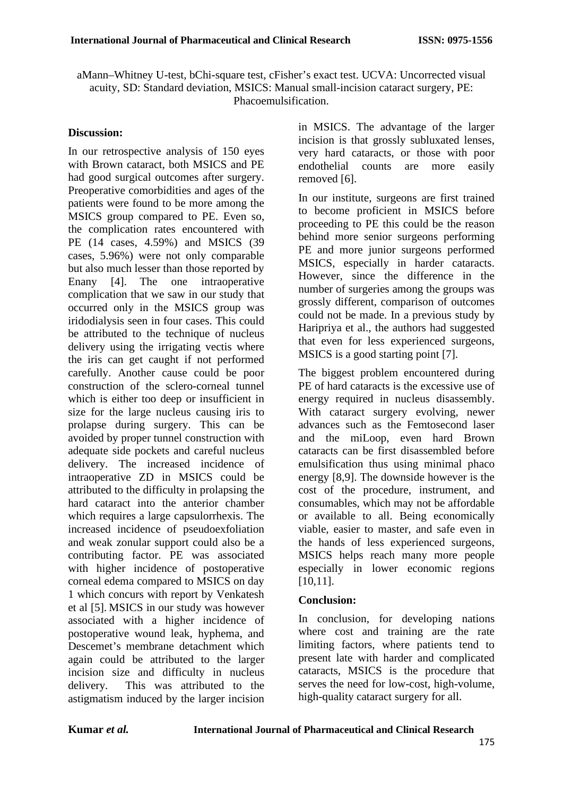aMann–Whitney U-test, bChi-square test, cFisher's exact test. UCVA: Uncorrected visual acuity, SD: Standard deviation, MSICS: Manual small-incision cataract surgery, PE: Phacoemulsification.

#### **Discussion:**

In our retrospective analysis of 150 eyes with Brown cataract, both MSICS and PE had good surgical outcomes after surgery. Preoperative comorbidities and ages of the patients were found to be more among the MSICS group compared to PE. Even so, the complication rates encountered with PE (14 cases, 4.59%) and MSICS (39 cases, 5.96%) were not only comparable but also much lesser than those reported by Enany [4]. The one intraoperative complication that we saw in our study that occurred only in the MSICS group was iridodialysis seen in four cases. This could be attributed to the technique of nucleus delivery using the irrigating vectis where the iris can get caught if not performed carefully. Another cause could be poor construction of the sclero-corneal tunnel which is either too deep or insufficient in size for the large nucleus causing iris to prolapse during surgery. This can be avoided by proper tunnel construction with adequate side pockets and careful nucleus delivery. The increased incidence of intraoperative ZD in MSICS could be attributed to the difficulty in prolapsing the hard cataract into the anterior chamber which requires a large capsulorrhexis. The increased incidence of pseudoexfoliation and weak zonular support could also be a contributing factor. PE was associated with higher incidence of postoperative corneal edema compared to MSICS on day 1 which concurs with report by Venkatesh et al [5]. MSICS in our study was however associated with a higher incidence of postoperative wound leak, hyphema, and Descemet's membrane detachment which again could be attributed to the larger incision size and difficulty in nucleus delivery. This was attributed to the astigmatism induced by the larger incision in MSICS. The advantage of the larger incision is that grossly subluxated lenses, very hard cataracts, or those with poor endothelial counts are more easily removed [6].

In our institute, surgeons are first trained to become proficient in MSICS before proceeding to PE this could be the reason behind more senior surgeons performing PE and more junior surgeons performed MSICS, especially in harder cataracts. However, since the difference in the number of surgeries among the groups was grossly different, comparison of outcomes could not be made. In a previous study by Haripriya et al., the authors had suggested that even for less experienced surgeons, MSICS is a good starting point [7].

The biggest problem encountered during PE of hard cataracts is the excessive use of energy required in nucleus disassembly. With cataract surgery evolving, newer advances such as the Femtosecond laser and the miLoop, even hard Brown cataracts can be first disassembled before emulsification thus using minimal phaco energy [8,9]. The downside however is the cost of the procedure, instrument, and consumables, which may not be affordable or available to all. Being economically viable, easier to master, and safe even in the hands of less experienced surgeons, MSICS helps reach many more people especially in lower economic regions [10,11].

#### **Conclusion:**

In conclusion, for developing nations where cost and training are the rate limiting factors, where patients tend to present late with harder and complicated cataracts, MSICS is the procedure that serves the need for low-cost, high-volume, high-quality cataract surgery for all.